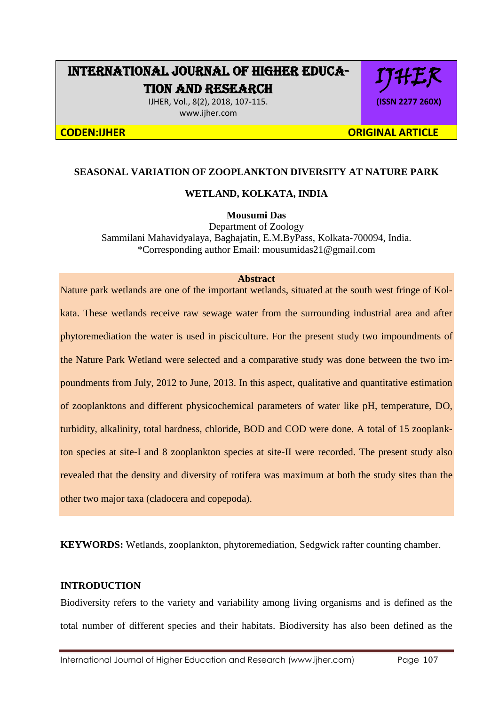# INTERNATIONAL JOURNAL OF HIGHER EDUCA-TION AND RESEARCH

IJHER, Vol., 8(2), 2018, 107-115. www.ijher.com

IJHER **(ISSN 2277 260X)**

**CODEN:IJHER ORIGINAL ARTICLE** 

# **SEASONAL VARIATION OF ZOOPLANKTON DIVERSITY AT NATURE PARK**

## **WETLAND, KOLKATA, INDIA**

**Mousumi Das**

Department of Zoology Sammilani Mahavidyalaya, Baghajatin, E.M.ByPass, Kolkata-700094, India. \*Corresponding author Email: mousumidas21@gmail.com

#### **Abstract**

Nature park wetlands are one of the important wetlands, situated at the south west fringe of Kolkata. These wetlands receive raw sewage water from the surrounding industrial area and after phytoremediation the water is used in pisciculture. For the present study two impoundments of the Nature Park Wetland were selected and a comparative study was done between the two impoundments from July, 2012 to June, 2013. In this aspect, qualitative and quantitative estimation of zooplanktons and different physicochemical parameters of water like pH, temperature, DO, turbidity, alkalinity, total hardness, chloride, BOD and COD were done. A total of 15 zooplankton species at site-I and 8 zooplankton species at site-II were recorded. The present study also revealed that the density and diversity of rotifera was maximum at both the study sites than the other two major taxa (cladocera and copepoda).

**KEYWORDS:** Wetlands, zooplankton, phytoremediation, Sedgwick rafter counting chamber.

# **INTRODUCTION**

Biodiversity refers to the variety and variability among living organisms and is defined as the total number of different species and their habitats. Biodiversity has also been defined as the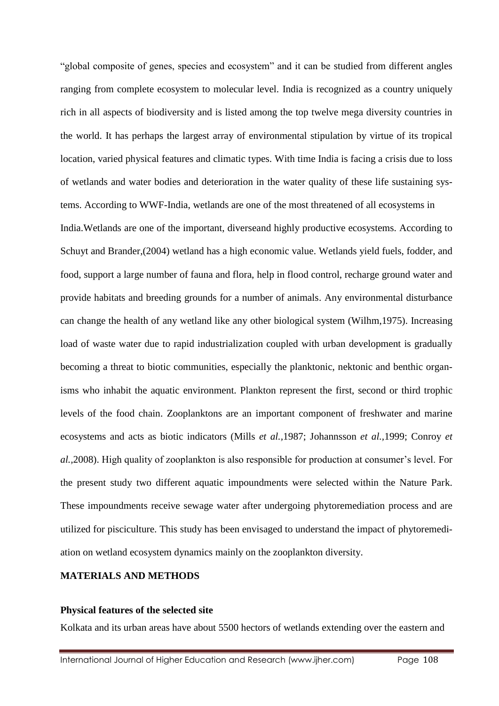"global composite of genes, species and ecosystem" and it can be studied from different angles ranging from complete ecosystem to molecular level. India is recognized as a country uniquely rich in all aspects of biodiversity and is listed among the top twelve mega diversity countries in the world. It has perhaps the largest array of environmental stipulation by virtue of its tropical location, varied physical features and climatic types. With time India is facing a crisis due to loss of wetlands and water bodies and deterioration in the water quality of these life sustaining systems. According to WWF-India, wetlands are one of the most threatened of all ecosystems in India.Wetlands are one of the important, diverseand highly productive ecosystems. According to Schuyt and Brander,(2004) wetland has a high economic value. Wetlands yield fuels, fodder, and food, support a large number of fauna and flora, help in flood control, recharge ground water and provide habitats and breeding grounds for a number of animals. Any environmental disturbance can change the health of any wetland like any other biological system (Wilhm,1975). Increasing load of waste water due to rapid industrialization coupled with urban development is gradually becoming a threat to biotic communities, especially the planktonic, nektonic and benthic organisms who inhabit the aquatic environment. Plankton represent the first, second or third trophic levels of the food chain. Zooplanktons are an important component of freshwater and marine ecosystems and acts as biotic indicators (Mills *et al.,*1987; Johannsson *et al.,*1999; Conroy *et al.,*2008). High quality of zooplankton is also responsible for production at consumer's level. For the present study two different aquatic impoundments were selected within the Nature Park. These impoundments receive sewage water after undergoing phytoremediation process and are utilized for pisciculture. This study has been envisaged to understand the impact of phytoremediation on wetland ecosystem dynamics mainly on the zooplankton diversity.

# **MATERIALS AND METHODS**

#### **Physical features of the selected site**

Kolkata and its urban areas have about 5500 hectors of wetlands extending over the eastern and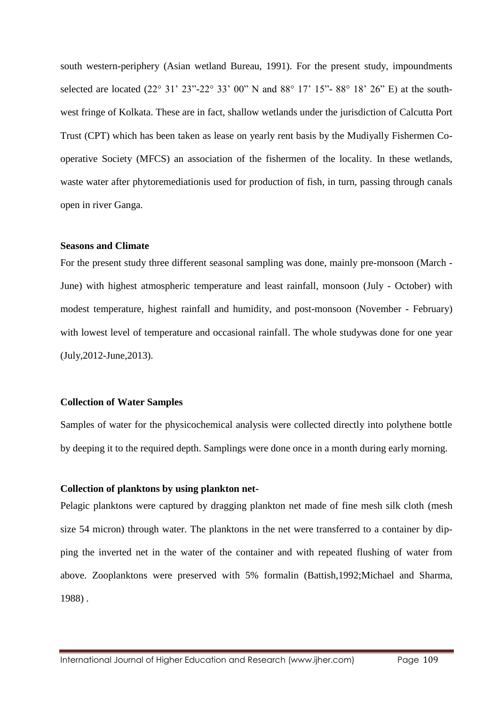south western-periphery (Asian wetland Bureau, 1991). For the present study, impoundments selected are located (22° 31' 23"-22° 33' 00" N and 88° 17' 15"- 88° 18' 26" E) at the southwest fringe of Kolkata. These are in fact, shallow wetlands under the jurisdiction of Calcutta Port Trust (CPT) which has been taken as lease on yearly rent basis by the Mudiyally Fishermen Cooperative Society (MFCS) an association of the fishermen of the locality. In these wetlands, waste water after phytoremediationis used for production of fish, in turn, passing through canals open in river Ganga.

## **Seasons and Climate**

For the present study three different seasonal sampling was done, mainly pre-monsoon (March - June) with highest atmospheric temperature and least rainfall, monsoon (July - October) with modest temperature, highest rainfall and humidity, and post-monsoon (November - February) with lowest level of temperature and occasional rainfall. The whole studywas done for one year (July,2012-June,2013).

#### **Collection of Water Samples**

Samples of water for the physicochemical analysis were collected directly into polythene bottle by deeping it to the required depth. Samplings were done once in a month during early morning.

#### **Collection of planktons by using plankton net-**

Pelagic planktons were captured by dragging plankton net made of fine mesh silk cloth (mesh size 54 micron) through water. The planktons in the net were transferred to a container by dipping the inverted net in the water of the container and with repeated flushing of water from above. Zooplanktons were preserved with 5% formalin (Battish,1992;Michael and Sharma, 1988) .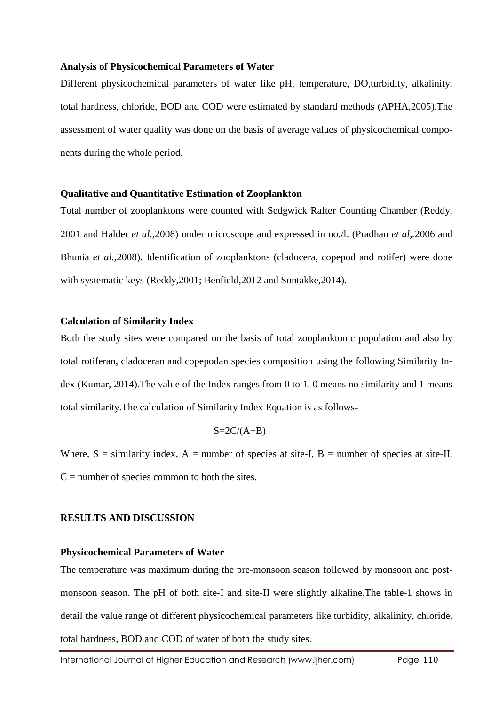#### **Analysis of Physicochemical Parameters of Water**

Different physicochemical parameters of water like pH, temperature, DO,turbidity, alkalinity, total hardness, chloride, BOD and COD were estimated by standard methods (APHA,2005).The assessment of water quality was done on the basis of average values of physicochemical components during the whole period.

#### **Qualitative and Quantitative Estimation of Zooplankton**

Total number of zooplanktons were counted with Sedgwick Rafter Counting Chamber (Reddy, 2001 and Halder *et al.*,2008) under microscope and expressed in no./l. (Pradhan *et al,.*2006 and Bhunia *et al.*,2008). Identification of zooplanktons (cladocera, copepod and rotifer) were done with systematic keys (Reddy,2001; Benfield,2012 and Sontakke,2014).

#### **Calculation of Similarity Index**

Both the study sites were compared on the basis of total zooplanktonic population and also by total rotiferan, cladoceran and copepodan species composition using the following Similarity Index (Kumar, 2014).The value of the Index ranges from 0 to 1. 0 means no similarity and 1 means total similarity.The calculation of Similarity Index Equation is as follows-

$$
S=2C/(A+B)
$$

Where,  $S =$  similarity index,  $A =$  number of species at site-I,  $B =$  number of species at site-II,  $C =$  number of species common to both the sites.

#### **RESULTS AND DISCUSSION**

#### **Physicochemical Parameters of Water**

The temperature was maximum during the pre-monsoon season followed by monsoon and postmonsoon season. The pH of both site-I and site-II were slightly alkaline.The table-1 shows in detail the value range of different physicochemical parameters like turbidity, alkalinity, chloride, total hardness, BOD and COD of water of both the study sites.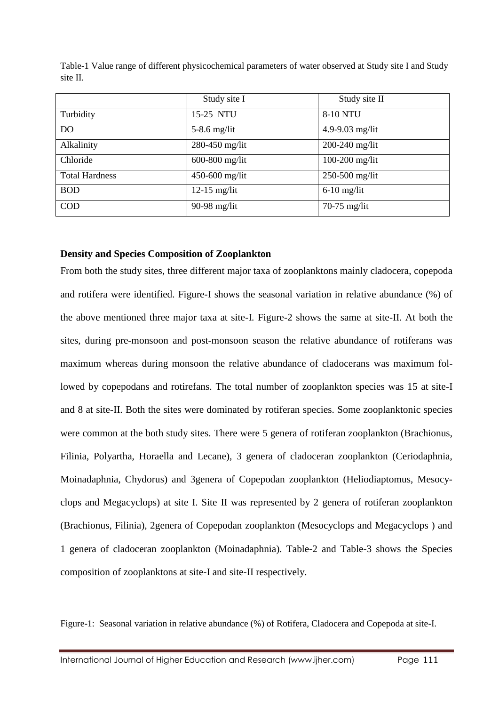|                       | Study site I       | Study site II      |
|-----------------------|--------------------|--------------------|
| Turbidity             | 15-25 NTU          | <b>8-10 NTU</b>    |
| D <sub>O</sub>        | $5-8.6$ mg/lit     | 4.9-9.03 mg/lit    |
| Alkalinity            | 280-450 mg/lit     | $200 - 240$ mg/lit |
| Chloride              | 600-800 mg/lit     | $100-200$ mg/lit   |
| <b>Total Hardness</b> | $450 - 600$ mg/lit | $250-500$ mg/lit   |
| <b>BOD</b>            | $12-15$ mg/lit     | $6-10$ mg/lit      |
| <b>COD</b>            | 90-98 mg/lit       | $70-75$ mg/lit     |

Table-1 Value range of different physicochemical parameters of water observed at Study site I and Study site II.

### **Density and Species Composition of Zooplankton**

From both the study sites, three different major taxa of zooplanktons mainly cladocera, copepoda and rotifera were identified. Figure-I shows the seasonal variation in relative abundance (%) of the above mentioned three major taxa at site-I. Figure-2 shows the same at site-II. At both the sites, during pre-monsoon and post-monsoon season the relative abundance of rotiferans was maximum whereas during monsoon the relative abundance of cladocerans was maximum followed by copepodans and rotirefans. The total number of zooplankton species was 15 at site-I and 8 at site-II. Both the sites were dominated by rotiferan species. Some zooplanktonic species were common at the both study sites. There were 5 genera of rotiferan zooplankton (Brachionus, Filinia, Polyartha, Horaella and Lecane), 3 genera of cladoceran zooplankton (Ceriodaphnia, Moinadaphnia, Chydorus) and 3genera of Copepodan zooplankton (Heliodiaptomus, Mesocyclops and Megacyclops) at site I. Site II was represented by 2 genera of rotiferan zooplankton (Brachionus, Filinia), 2genera of Copepodan zooplankton (Mesocyclops and Megacyclops ) and 1 genera of cladoceran zooplankton (Moinadaphnia). Table-2 and Table-3 shows the Species composition of zooplanktons at site-I and site-II respectively.

Figure-1: Seasonal variation in relative abundance (%) of Rotifera, Cladocera and Copepoda at site-I.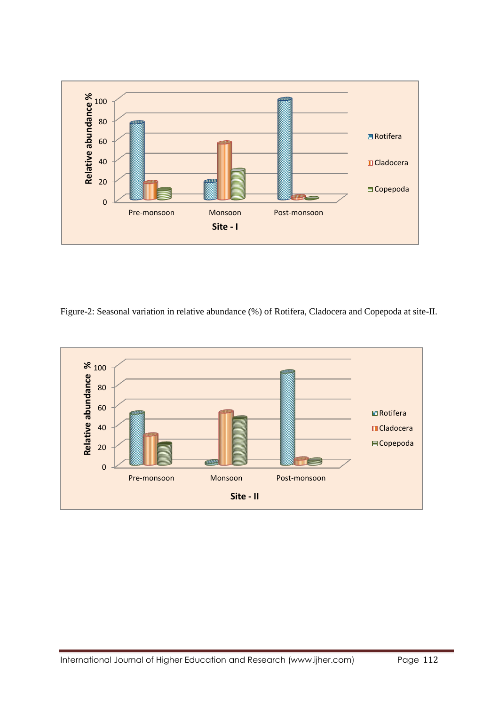

Figure-2: Seasonal variation in relative abundance (%) of Rotifera, Cladocera and Copepoda at site-II.

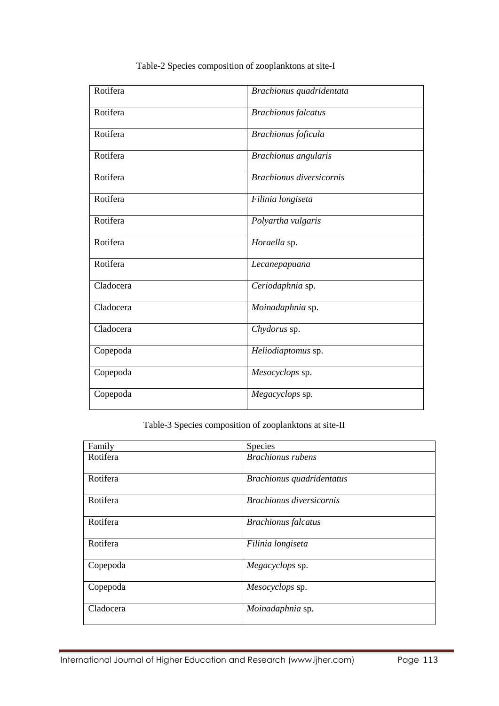| Rotifera  | Brachionus quadridentata        |  |
|-----------|---------------------------------|--|
| Rotifera  | <b>Brachionus</b> falcatus      |  |
| Rotifera  | Brachionus foficula             |  |
| Rotifera  | Brachionus angularis            |  |
| Rotifera  | <b>Brachionus diversicornis</b> |  |
| Rotifera  | Filinia longiseta               |  |
| Rotifera  | Polyartha vulgaris              |  |
| Rotifera  | Horaella sp.                    |  |
| Rotifera  | Lecanepapuana                   |  |
| Cladocera | Ceriodaphnia sp.                |  |
| Cladocera | Moinadaphnia sp.                |  |
| Cladocera | Chydorus sp.                    |  |
| Copepoda  | Heliodiaptomus sp.              |  |
| Copepoda  | Mesocyclops sp.                 |  |
| Copepoda  | Megacyclops sp.                 |  |

# Table-2 Species composition of zooplanktons at site-I

# Table-3 Species composition of zooplanktons at site-II

| Family    | Species                         |  |
|-----------|---------------------------------|--|
| Rotifera  | <b>Brachionus</b> rubens        |  |
| Rotifera  | Brachionus quadridentatus       |  |
| Rotifera  | <b>Brachionus diversicornis</b> |  |
| Rotifera  | <b>Brachionus</b> falcatus      |  |
| Rotifera  | Filinia longiseta               |  |
| Copepoda  | Megacyclops sp.                 |  |
| Copepoda  | Mesocyclops sp.                 |  |
| Cladocera | Moinadaphnia sp.                |  |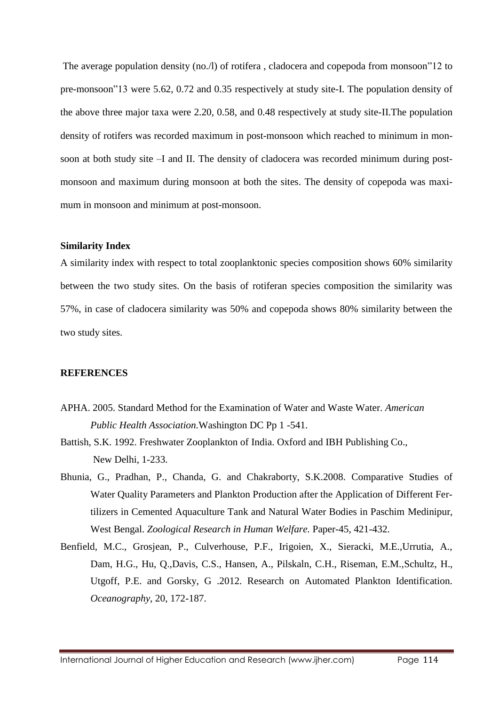The average population density (no./l) of rotifera , cladocera and copepoda from monsoon"12 to pre-monsoon"13 were 5.62, 0.72 and 0.35 respectively at study site-I. The population density of the above three major taxa were 2.20, 0.58, and 0.48 respectively at study site-II.The population density of rotifers was recorded maximum in post-monsoon which reached to minimum in monsoon at both study site –I and II. The density of cladocera was recorded minimum during postmonsoon and maximum during monsoon at both the sites. The density of copepoda was maximum in monsoon and minimum at post-monsoon.

## **Similarity Index**

A similarity index with respect to total zooplanktonic species composition shows 60% similarity between the two study sites. On the basis of rotiferan species composition the similarity was 57%, in case of cladocera similarity was 50% and copepoda shows 80% similarity between the two study sites.

## **REFERENCES**

- APHA. 2005. Standard Method for the Examination of Water and Waste Water. *American Public Health Association.*Washington DC Pp 1 -541.
- Battish, S.K. 1992. Freshwater Zooplankton of India. Oxford and IBH Publishing Co., New Delhi, 1-233.
- Bhunia, G., Pradhan, P., Chanda, G. and Chakraborty, S.K.2008. Comparative Studies of Water Quality Parameters and Plankton Production after the Application of Different Fertilizers in Cemented Aquaculture Tank and Natural Water Bodies in Paschim Medinipur, West Bengal. *Zoological Research in Human Welfare.* Paper-45, 421-432.
- Benfield, M.C., Grosjean, P., Culverhouse, P.F., Irigoien, X., Sieracki, M.E.,Urrutia, A., Dam, H.G., Hu, Q.,Davis, C.S., Hansen, A., Pilskaln, C.H., Riseman, E.M.,Schultz, H., Utgoff, P.E. and Gorsky, G .2012. Research on Automated Plankton Identification. *Oceanography*, 20, 172-187.